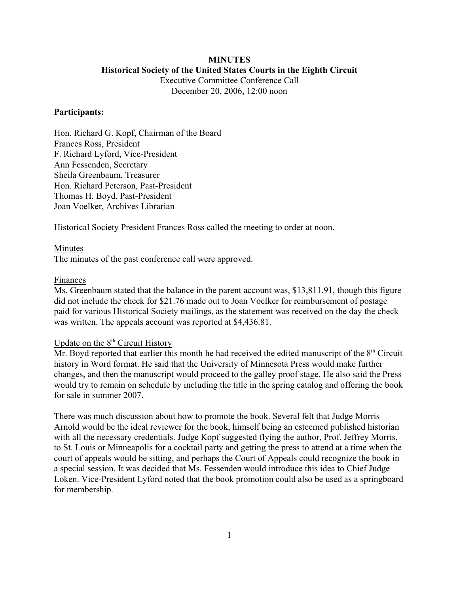# **MINUTES**

**Historical Society of the United States Courts in the Eighth Circuit**

Executive Committee Conference Call December 20, 2006, 12:00 noon

## **Participants:**

Hon. Richard G. Kopf, Chairman of the Board Frances Ross, President F. Richard Lyford, Vice-President Ann Fessenden, Secretary Sheila Greenbaum, Treasurer Hon. Richard Peterson, Past-President Thomas H. Boyd, Past-President Joan Voelker, Archives Librarian

Historical Society President Frances Ross called the meeting to order at noon.

## Minutes

The minutes of the past conference call were approved.

## Finances

Ms. Greenbaum stated that the balance in the parent account was, \$13,811.91, though this figure did not include the check for \$21.76 made out to Joan Voelker for reimbursement of postage paid for various Historical Society mailings, as the statement was received on the day the check was written. The appeals account was reported at \$4,436.81.

## Update on the  $8<sup>th</sup>$  Circuit History

Mr. Boyd reported that earlier this month he had received the edited manuscript of the  $8<sup>th</sup>$  Circuit history in Word format. He said that the University of Minnesota Press would make further changes, and then the manuscript would proceed to the galley proof stage. He also said the Press would try to remain on schedule by including the title in the spring catalog and offering the book for sale in summer 2007.

There was much discussion about how to promote the book. Several felt that Judge Morris Arnold would be the ideal reviewer for the book, himself being an esteemed published historian with all the necessary credentials. Judge Kopf suggested flying the author, Prof. Jeffrey Morris, to St. Louis or Minneapolis for a cocktail party and getting the press to attend at a time when the court of appeals would be sitting, and perhaps the Court of Appeals could recognize the book in a special session. It was decided that Ms. Fessenden would introduce this idea to Chief Judge Loken. Vice-President Lyford noted that the book promotion could also be used as a springboard for membership.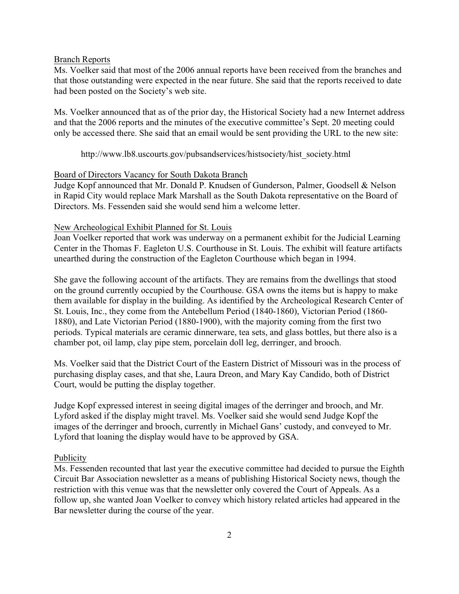#### Branch Reports

Ms. Voelker said that most of the 2006 annual reports have been received from the branches and that those outstanding were expected in the near future. She said that the reports received to date had been posted on the Society's web site.

Ms. Voelker announced that as of the prior day, the Historical Society had a new Internet address and that the 2006 reports and the minutes of the executive committee's Sept. 20 meeting could only be accessed there. She said that an email would be sent providing the URL to the new site:

http://www.lb8.uscourts.gov/pubsandservices/histsociety/hist\_society.html

## Board of Directors Vacancy for South Dakota Branch

Judge Kopf announced that Mr. Donald P. Knudsen of Gunderson, Palmer, Goodsell & Nelson in Rapid City would replace Mark Marshall as the South Dakota representative on the Board of Directors. Ms. Fessenden said she would send him a welcome letter.

## New Archeological Exhibit Planned for St. Louis

Joan Voelker reported that work was underway on a permanent exhibit for the Judicial Learning Center in the Thomas F. Eagleton U.S. Courthouse in St. Louis. The exhibit will feature artifacts unearthed during the construction of the Eagleton Courthouse which began in 1994.

She gave the following account of the artifacts. They are remains from the dwellings that stood on the ground currently occupied by the Courthouse. GSA owns the items but is happy to make them available for display in the building. As identified by the Archeological Research Center of St. Louis, Inc., they come from the Antebellum Period (1840-1860), Victorian Period (1860- 1880), and Late Victorian Period (1880-1900), with the majority coming from the first two periods. Typical materials are ceramic dinnerware, tea sets, and glass bottles, but there also is a chamber pot, oil lamp, clay pipe stem, porcelain doll leg, derringer, and brooch.

Ms. Voelker said that the District Court of the Eastern District of Missouri was in the process of purchasing display cases, and that she, Laura Dreon, and Mary Kay Candido, both of District Court, would be putting the display together.

Judge Kopf expressed interest in seeing digital images of the derringer and brooch, and Mr. Lyford asked if the display might travel. Ms. Voelker said she would send Judge Kopf the images of the derringer and brooch, currently in Michael Gans' custody, and conveyed to Mr. Lyford that loaning the display would have to be approved by GSA.

#### Publicity

Ms. Fessenden recounted that last year the executive committee had decided to pursue the Eighth Circuit Bar Association newsletter as a means of publishing Historical Society news, though the restriction with this venue was that the newsletter only covered the Court of Appeals. As a follow up, she wanted Joan Voelker to convey which history related articles had appeared in the Bar newsletter during the course of the year.